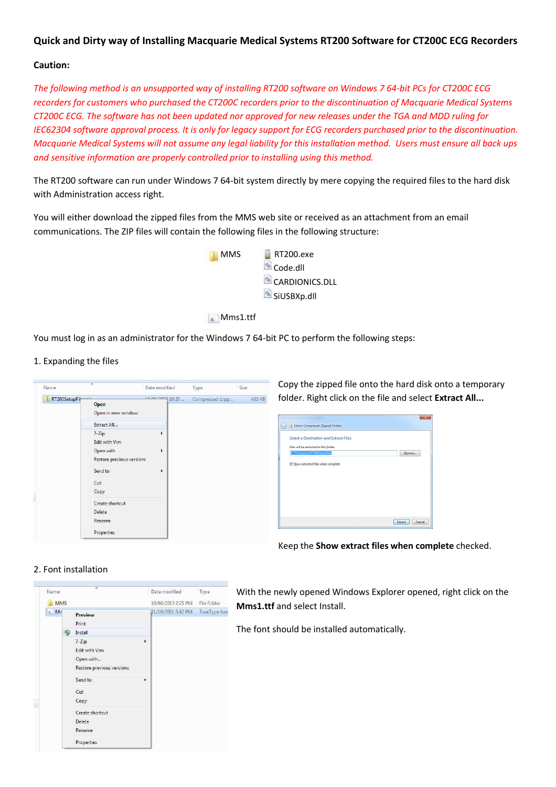# **Quick and Dirty way of Installing Macquarie Medical Systems RT200 Software for CT200C ECG Recorders**

## **Caution:**

*The following method is an unsupported way of installing RT200 software on Windows 7 64-bit PCs for CT200C ECG recorders for customers who purchased the CT200C recorders prior to the discontinuation of Macquarie Medical Systems CT200C ECG. The software has not been updated nor approved for new releases under the TGA and MDD ruling for IEC62304 software approval process. It is only for legacy support for ECG recorders purchased prior to the discontinuation. Macquarie Medical Systems will not assume any legal liability for this installation method. Users must ensure all back ups and sensitive information are properly controlled prior to installing using this method.* 

The RT200 software can run under Windows 7 64-bit system directly by mere copying the required files to the hard disk with Administration access right.

You will either download the zipped files from the MMS web site or received as an attachment from an email communications. The ZIP files will contain the following files in the following structure:



Mms1.ttf

You must log in as an administrator for the Windows 7 64-bit PC to perform the following steps:

1. Expanding the files



Copy the zipped file onto the hard disk onto a temporary folder. Right click on the file and select **Extract All...**

| Extract Compressed (Zipped) Folders                                     |                   |
|-------------------------------------------------------------------------|-------------------|
| Select a Destination and Extract Files                                  |                   |
| Files will be extracted to this folder:<br>C:\Temporary\RT200SetupFiles | Browse            |
| V Show extracted files when complete                                    |                   |
|                                                                         |                   |
|                                                                         |                   |
|                                                                         |                   |
|                                                                         |                   |
|                                                                         |                   |
|                                                                         | Cancel<br>Extract |

Keep the **Show extract files when complete** checked.

## 2. Font installation



With the newly opened Windows Explorer opened, right click on the **Mms1.ttf** and select Install.

The font should be installed automatically.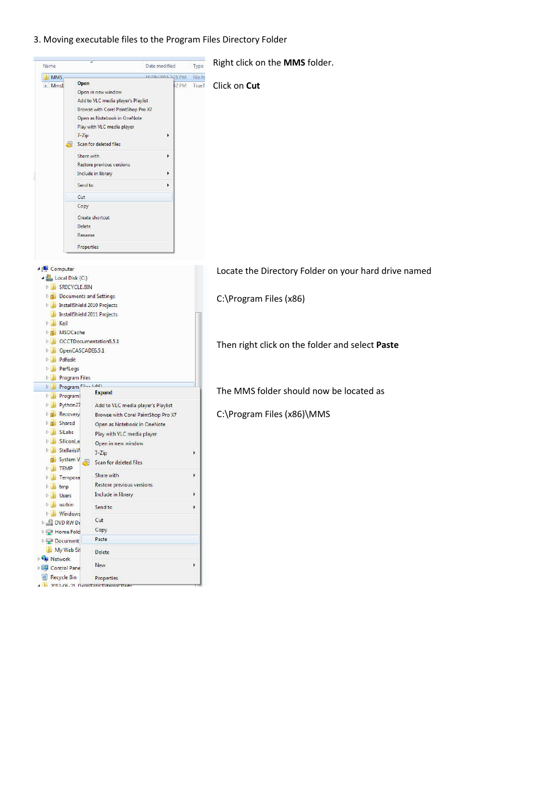3. Moving executable files to the Program Files Directory Folder

|                                                                                                                             |                                                                                                                                                                                                                                                                                                                                                                   | Date modified                    | Type                  | Right click on the MMS folder.                       |
|-----------------------------------------------------------------------------------------------------------------------------|-------------------------------------------------------------------------------------------------------------------------------------------------------------------------------------------------------------------------------------------------------------------------------------------------------------------------------------------------------------------|----------------------------------|-----------------------|------------------------------------------------------|
| <b>MMS</b>                                                                                                                  |                                                                                                                                                                                                                                                                                                                                                                   | 10/06/2015 2-25 PM               | File fo               |                                                      |
| A Mms1<br>d.                                                                                                                | Open<br>Open in new window<br>Add to VLC media player's Playlist<br>Browse with Corel PaintShop Pro X7<br>Open as Notebook in OneNote<br>Play with VLC media player<br>$7 - Zip$<br>Scan for deleted files<br>Share with<br><b>Restore previous versions</b><br>Include in library<br>Send to<br>Cut<br>Copy<br>Create shortcut<br>Delete<br>Rename<br>Properties | <b>12 PM</b><br>r<br>r<br>٠<br>١ | TrueT                 | Click on Cut                                         |
| <b>A Computer</b><br>Local Disk (C:)<br>SRECYCLE.BIN<br>$D$ $\blacksquare$                                                  |                                                                                                                                                                                                                                                                                                                                                                   |                                  |                       | Locate the Directory Folder on your hard drive named |
| $D$ $10$<br><b>EL Keil</b>                                                                                                  | <b>P.A.</b> Documents and Settings<br><b>InstallShield 2010 Projects</b><br><b>InstallShield 2011 Projects</b>                                                                                                                                                                                                                                                    |                                  |                       | C:\Program Files (x86)                               |
| <b>Diale</b> MSOCache<br>$D = 1$<br>$D$ and<br>Pdfedit<br><b>D</b> B<br>P PerfLogs                                          | OCCTDocumentation6.5.1<br>OpenCASCADE6.5.1                                                                                                                                                                                                                                                                                                                        |                                  |                       | Then right click on the folder and select Paste      |
| <b>D Program Files</b><br>$D$ $ B $                                                                                         | Program Files Andex                                                                                                                                                                                                                                                                                                                                               |                                  |                       |                                                      |
| <b>PILE</b><br>Programl                                                                                                     | <b>Expand</b>                                                                                                                                                                                                                                                                                                                                                     |                                  |                       | The MMS folder should now be located as              |
|                                                                                                                             |                                                                                                                                                                                                                                                                                                                                                                   |                                  |                       |                                                      |
| Python27<br>$D$ $\blacksquare$<br>Recovery<br>$D$ $D$<br>Shared<br>$D$ $D$<br>SiLabs<br>D.<br>SiliconLa<br>D.<br>StellarisW | Add to VLC media player's Playlist<br>Browse with Corel PaintShop Pro X7<br>Open as Notebook in OneNote<br>Play with VLC media player<br>Open in new window<br>$7 - Zip$                                                                                                                                                                                          |                                  | Þ                     | C:\Program Files (x86)\MMS                           |
| System V<br><b>TEMP</b><br>P La                                                                                             | Scan for deleted files                                                                                                                                                                                                                                                                                                                                            |                                  |                       |                                                      |
| <b>D</b> Tempora                                                                                                            | Share with                                                                                                                                                                                                                                                                                                                                                        |                                  | Þ                     |                                                      |
| <b>b</b> tmp                                                                                                                | Restore previous versions                                                                                                                                                                                                                                                                                                                                         |                                  |                       |                                                      |
| D Users                                                                                                                     | Include in library                                                                                                                                                                                                                                                                                                                                                |                                  | k                     |                                                      |
| D usrbin                                                                                                                    | Send to                                                                                                                                                                                                                                                                                                                                                           |                                  | $\blacktriangleright$ |                                                      |
| <b>Nindows</b>                                                                                                              | Cut                                                                                                                                                                                                                                                                                                                                                               |                                  |                       |                                                      |
| <b>DVD RW Dr</b>                                                                                                            | Copy                                                                                                                                                                                                                                                                                                                                                              |                                  |                       |                                                      |
| Home Fold<br>Document                                                                                                       | Paste                                                                                                                                                                                                                                                                                                                                                             |                                  |                       |                                                      |
| My Web Sit                                                                                                                  | <b>Delete</b>                                                                                                                                                                                                                                                                                                                                                     |                                  |                       |                                                      |
| <b>Ciu Network</b><br><b>DEL Control Pane</b>                                                                               | <b>New</b>                                                                                                                                                                                                                                                                                                                                                        |                                  | $\blacktriangleright$ |                                                      |

Right click on the **MMS** folder.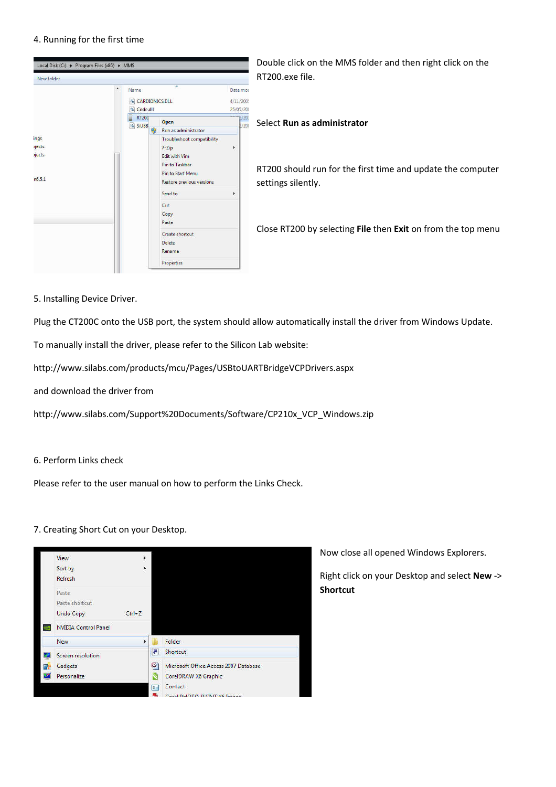### 4. Running for the first time



Double click on the MMS folder and then right click on the RT200.exe file.

#### Select **Run as administrator**

RT200 should run for the first time and update the computer settings silently.

Close RT200 by selecting **File** then **Exit** on from the top menu

5. Installing Device Driver.

Plug the CT200C onto the USB port, the system should allow automatically install the driver from Windows Update.

To manually install the driver, please refer to the Silicon Lab website:

http://www.silabs.com/products/mcu/Pages/USBtoUARTBridgeVCPDrivers.aspx

and download the driver from

http://www.silabs.com/Support%20Documents/Software/CP210x\_VCP\_Windows.zip

### 6. Perform Links check

Please refer to the user manual on how to perform the Links Check.

### 7. Creating Short Cut on your Desktop.



Now close all opened Windows Explorers.

Right click on your Desktop and select **New** -> **Shortcut**